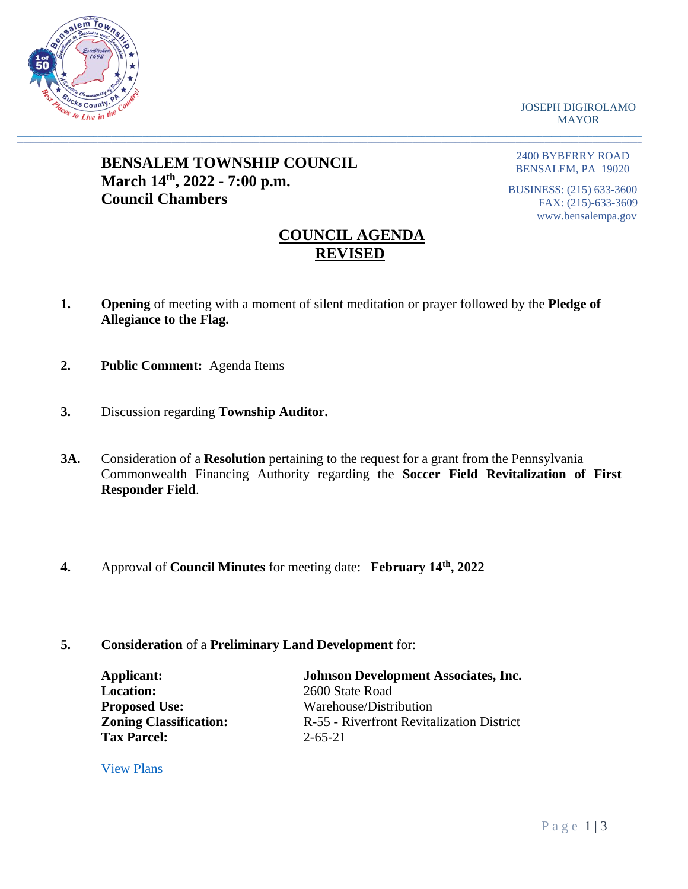

JOSEPH DIGIROLAMO MAYOR

# **BENSALEM TOWNSHIP COUNCIL March 14th, 2022 - 7:00 p.m. Council Chambers**

2400 BYBERRY ROAD BENSALEM, PA 19020

BUSINESS: (215) 633-3600 FAX: (215)-633-3609 www.bensalempa.gov

## **COUNCIL AGENDA REVISED**

**1. Opening** of meeting with a moment of silent meditation or prayer followed by the **Pledge of Allegiance to the Flag.**

 $\_$  , and the set of the set of the set of the set of the set of the set of the set of the set of the set of the set of the set of the set of the set of the set of the set of the set of the set of the set of the set of th

- **2. Public Comment:** Agenda Items
- **3.** Discussion regarding **Township Auditor.**
- **3A.** Consideration of a **Resolution** pertaining to the request for a grant from the Pennsylvania Commonwealth Financing Authority regarding the **Soccer Field Revitalization of First Responder Field**.
- **4.** Approval of **Council Minutes** for meeting date: **February 14th, 2022**
- **5. Consideration** of a **Preliminary Land Development** for:

| <b>Applicant:</b>             | <b>Johnson Development Associates, Inc.</b> |
|-------------------------------|---------------------------------------------|
| <b>Location:</b>              | 2600 State Road                             |
| <b>Proposed Use:</b>          | Warehouse/Distribution                      |
| <b>Zoning Classification:</b> | R-55 - Riverfront Revitalization District   |
| <b>Tax Parcel:</b>            | $2 - 65 - 21$                               |

[View Plans](https://www.bensalempa.gov/uploads/2/4/9/3/24936441/state_rd_2600_revised__4__-_johnson_development.pdf)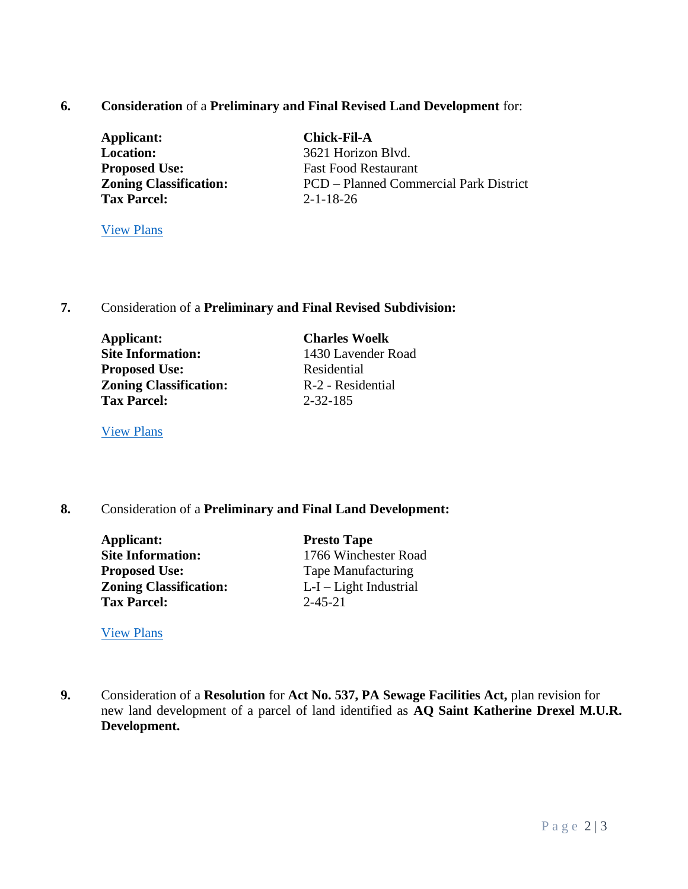## **6. Consideration** of a **Preliminary and Final Revised Land Development** for:

| Applicant:                    |  |
|-------------------------------|--|
| Location:                     |  |
| <b>Proposed Use:</b>          |  |
| <b>Zoning Classification:</b> |  |
| <b>Tax Parcel:</b>            |  |

**Applicant: Chick-Fil-A Location:** 3621 Horizon Blvd. **Fast Food Restaurant PCD** – Planned Commercial Park District **Tax Parcel:** 2-1-18-26

[View Plans](https://www.bensalempa.gov/uploads/2/4/9/3/24936441/horizon_blvd_3621_-_prel-final_ld_revised.pdf)

## **7.** Consideration of a **Preliminary and Final Revised Subdivision:**

**Applicant: Charles Woelk Site Information:** 1430 Lavender Road **Proposed Use:** Residential **Zoning Classification:** R-2 - Residential **Tax Parcel:** 2-32-185

[View Plans](https://www.bensalempa.gov/uploads/2/4/9/3/24936441/lavender_rd_1430_-_revised_2-_prel-final_subdivision.pdf)

## **8.** Consideration of a **Preliminary and Final Land Development:**

**Applicant: Presto Tape Site Information:** 1766 Winchester Road **Proposed Use:** Tape Manufacturing **Zoning Classification:** L-I – Light Industrial **Tax Parcel:** 2-45-21

[View Plans](https://www.bensalempa.gov/uploads/2/4/9/3/24936441/winchester_rd_1766_-_prel-final_land_devel__presto_tape_.pdf)

**9.** Consideration of a **Resolution** for **Act No. 537, PA Sewage Facilities Act,** plan revision for new land development of a parcel of land identified as **AQ Saint Katherine Drexel M.U.R. Development.**